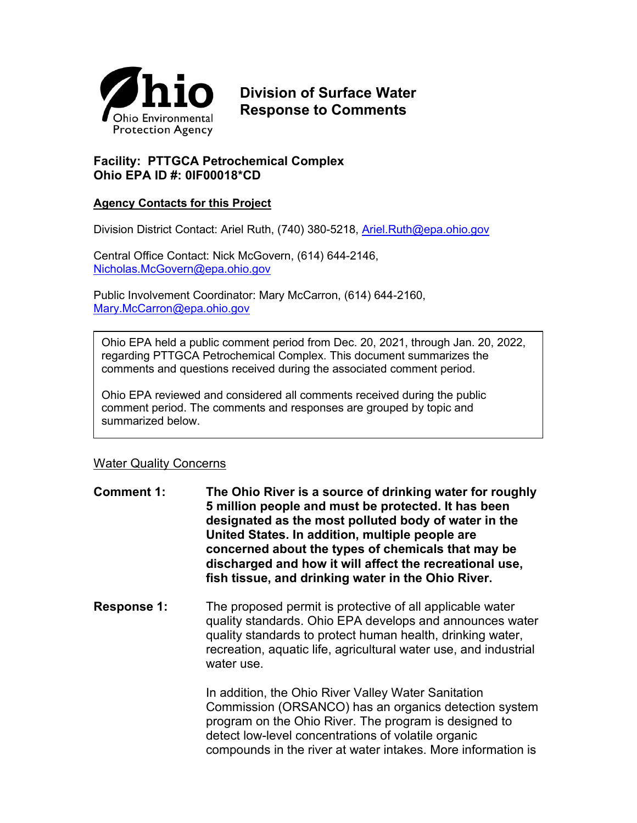

# **Division of Surface Water Response to Comments**

## **Facility: PTTGCA Petrochemical Complex Ohio EPA ID #: 0IF00018\*CD**

### **Agency Contacts for this Project**

Division District Contact: Ariel Ruth, (740) 380-5218, [Ariel.Ruth@epa.ohio.gov](mailto:Ariel.Ruth@epa.ohio.gov) 

Central Office Contact: Nick McGovern, (614) 644-2146, [Nicholas.McGovern@epa.ohio.gov](mailto:Nicholas.McGovern@epa.ohio.gov)

Public Involvement Coordinator: Mary McCarron, (614) 644-2160, [Mary.McCarron@epa.ohio.gov](mailto:Mary.McCarron@epa.ohio.gov)

Ohio EPA held a public comment period from Dec. 20, 2021, through Jan. 20, 2022, regarding PTTGCA Petrochemical Complex. This document summarizes the comments and questions received during the associated comment period.

Ohio EPA reviewed and considered all comments received during the public comment period. The comments and responses are grouped by topic and summarized below.

#### Water Quality Concerns

- **Comment 1: The Ohio River is a source of drinking water for roughly 5 million people and must be protected. It has been designated as the most polluted body of water in the United States. In addition, multiple people are concerned about the types of chemicals that may be discharged and how it will affect the recreational use, fish tissue, and drinking water in the Ohio River.**
- **Response 1:** The proposed permit is protective of all applicable water quality standards. Ohio EPA develops and announces water quality standards to protect human health, drinking water, recreation, aquatic life, agricultural water use, and industrial water use.

In addition, the Ohio River Valley Water Sanitation Commission (ORSANCO) has an organics detection system program on the Ohio River. The program is designed to detect low-level concentrations of volatile organic compounds in the river at water intakes. More information is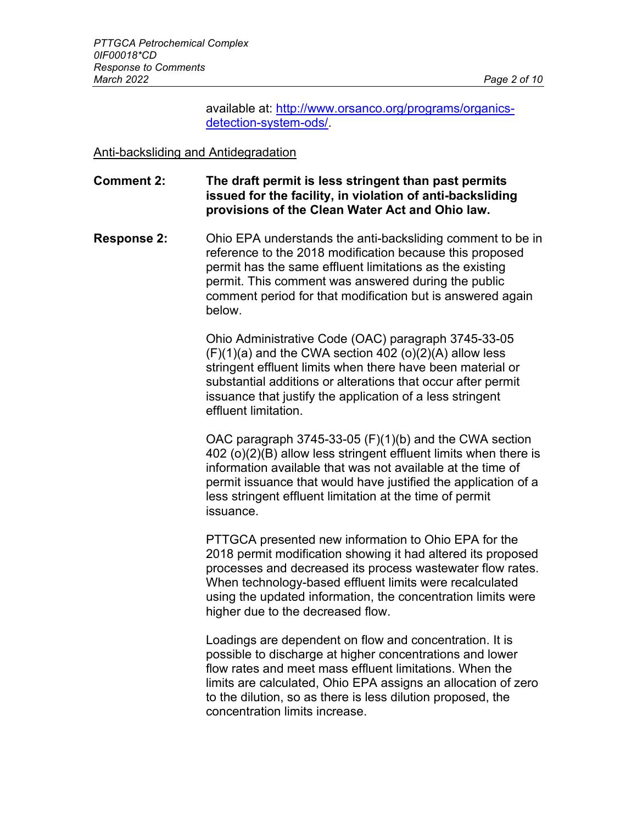available at: [http://www.orsanco.org/programs/organics](http://www.orsanco.org/programs/organics-detection-system-ods/)[detection-system-ods/.](http://www.orsanco.org/programs/organics-detection-system-ods/)

Anti-backsliding and Antidegradation

## **Comment 2: The draft permit is less stringent than past permits issued for the facility, in violation of anti-backsliding provisions of the Clean Water Act and Ohio law.**

**Response 2:** Ohio EPA understands the anti-backsliding comment to be in reference to the 2018 modification because this proposed permit has the same effluent limitations as the existing permit. This comment was answered during the public comment period for that modification but is answered again below.

> Ohio Administrative Code (OAC) paragraph 3745-33-05  $(F)(1)(a)$  and the CWA section 402  $(o)(2)(A)$  allow less stringent effluent limits when there have been material or substantial additions or alterations that occur after permit issuance that justify the application of a less stringent effluent limitation.

OAC paragraph 3745-33-05 (F)(1)(b) and the CWA section 402 (o)(2)(B) allow less stringent effluent limits when there is information available that was not available at the time of permit issuance that would have justified the application of a less stringent effluent limitation at the time of permit issuance.

PTTGCA presented new information to Ohio EPA for the 2018 permit modification showing it had altered its proposed processes and decreased its process wastewater flow rates. When technology-based effluent limits were recalculated using the updated information, the concentration limits were higher due to the decreased flow.

Loadings are dependent on flow and concentration. It is possible to discharge at higher concentrations and lower flow rates and meet mass effluent limitations. When the limits are calculated, Ohio EPA assigns an allocation of zero to the dilution, so as there is less dilution proposed, the concentration limits increase.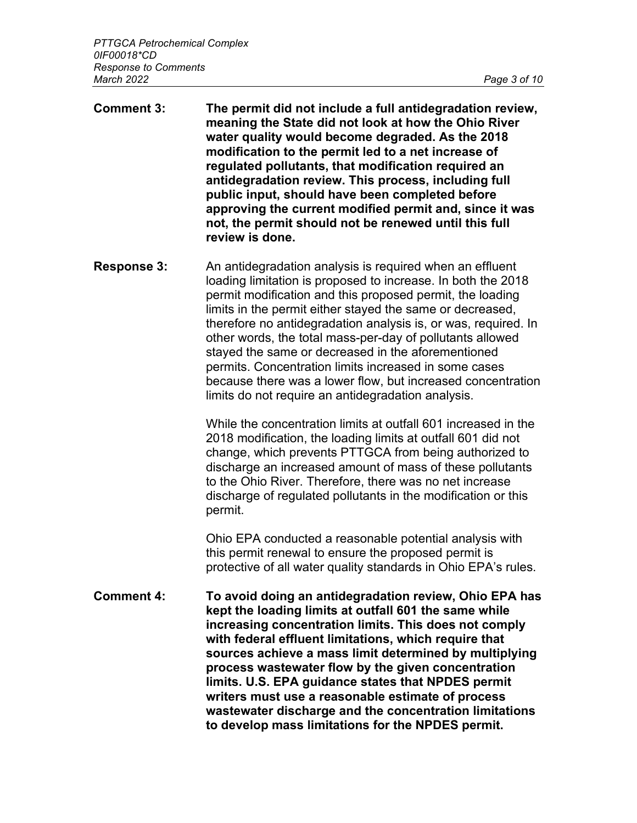- **Comment 3: The permit did not include a full antidegradation review, meaning the State did not look at how the Ohio River water quality would become degraded. As the 2018 modification to the permit led to a net increase of regulated pollutants, that modification required an antidegradation review. This process, including full public input, should have been completed before approving the current modified permit and, since it was not, the permit should not be renewed until this full review is done.**
- **Response 3:** An antidegradation analysis is required when an effluent loading limitation is proposed to increase. In both the 2018 permit modification and this proposed permit, the loading limits in the permit either stayed the same or decreased, therefore no antidegradation analysis is, or was, required. In other words, the total mass-per-day of pollutants allowed stayed the same or decreased in the aforementioned permits. Concentration limits increased in some cases because there was a lower flow, but increased concentration limits do not require an antidegradation analysis.

While the concentration limits at outfall 601 increased in the 2018 modification, the loading limits at outfall 601 did not change, which prevents PTTGCA from being authorized to discharge an increased amount of mass of these pollutants to the Ohio River. Therefore, there was no net increase discharge of regulated pollutants in the modification or this permit.

Ohio EPA conducted a reasonable potential analysis with this permit renewal to ensure the proposed permit is protective of all water quality standards in Ohio EPA's rules.

**Comment 4: To avoid doing an antidegradation review, Ohio EPA has kept the loading limits at outfall 601 the same while increasing concentration limits. This does not comply with federal effluent limitations, which require that sources achieve a mass limit determined by multiplying process wastewater flow by the given concentration limits. U.S. EPA guidance states that NPDES permit writers must use a reasonable estimate of process wastewater discharge and the concentration limitations to develop mass limitations for the NPDES permit.**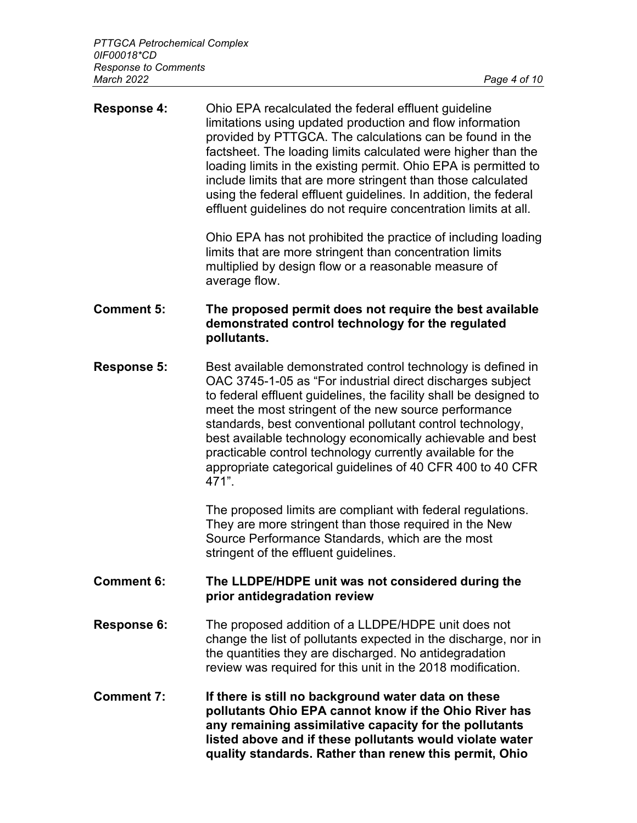| <b>Response 4:</b> | Ohio EPA recalculated the federal effluent guideline<br>limitations using updated production and flow information<br>provided by PTTGCA. The calculations can be found in the<br>factsheet. The loading limits calculated were higher than the<br>loading limits in the existing permit. Ohio EPA is permitted to<br>include limits that are more stringent than those calculated<br>using the federal effluent guidelines. In addition, the federal<br>effluent guidelines do not require concentration limits at all.   |
|--------------------|---------------------------------------------------------------------------------------------------------------------------------------------------------------------------------------------------------------------------------------------------------------------------------------------------------------------------------------------------------------------------------------------------------------------------------------------------------------------------------------------------------------------------|
|                    | Ohio EPA has not prohibited the practice of including loading<br>limits that are more stringent than concentration limits<br>multiplied by design flow or a reasonable measure of<br>average flow.                                                                                                                                                                                                                                                                                                                        |
| <b>Comment 5:</b>  | The proposed permit does not require the best available<br>demonstrated control technology for the regulated<br>pollutants.                                                                                                                                                                                                                                                                                                                                                                                               |
| <b>Response 5:</b> | Best available demonstrated control technology is defined in<br>OAC 3745-1-05 as "For industrial direct discharges subject<br>to federal effluent guidelines, the facility shall be designed to<br>meet the most stringent of the new source performance<br>standards, best conventional pollutant control technology,<br>best available technology economically achievable and best<br>practicable control technology currently available for the<br>appropriate categorical guidelines of 40 CFR 400 to 40 CFR<br>471". |
|                    | The proposed limits are compliant with federal regulations.<br>They are more stringent than those required in the New<br>Source Performance Standards, which are the most<br>stringent of the effluent guidelines.                                                                                                                                                                                                                                                                                                        |
| <b>Comment 6:</b>  | The LLDPE/HDPE unit was not considered during the<br>prior antidegradation review                                                                                                                                                                                                                                                                                                                                                                                                                                         |
| Response 6:        | The proposed addition of a LLDPE/HDPE unit does not<br>change the list of pollutants expected in the discharge, nor in<br>the quantities they are discharged. No antidegradation<br>review was required for this unit in the 2018 modification.                                                                                                                                                                                                                                                                           |
| <b>Comment 7:</b>  | If there is still no background water data on these<br>pollutants Ohio EPA cannot know if the Ohio River has<br>any remaining assimilative capacity for the pollutants<br>listed above and if these pollutants would violate water<br>quality standards. Rather than renew this permit, Ohio                                                                                                                                                                                                                              |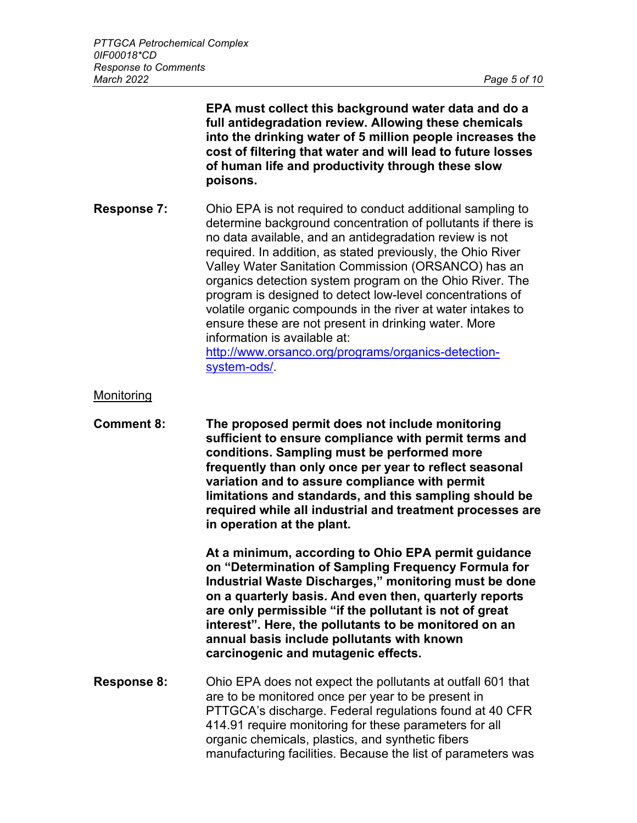**EPA must collect this background water data and do a full antidegradation review. Allowing these chemicals into the drinking water of 5 million people increases the cost of filtering that water and will lead to future losses of human life and productivity through these slow poisons.**

**Response 7:** Ohio EPA is not required to conduct additional sampling to determine background concentration of pollutants if there is no data available, and an antidegradation review is not required. In addition, as stated previously, the Ohio River Valley Water Sanitation Commission (ORSANCO) has an organics detection system program on the Ohio River. The program is designed to detect low-level concentrations of volatile organic compounds in the river at water intakes to ensure these are not present in drinking water. More information is available at: [http://www.orsanco.org/programs/organics-detection](http://www.orsanco.org/programs/organics-detection-system-ods/)[system-ods/.](http://www.orsanco.org/programs/organics-detection-system-ods/)

#### **Monitoring**

**Comment 8: The proposed permit does not include monitoring sufficient to ensure compliance with permit terms and conditions. Sampling must be performed more frequently than only once per year to reflect seasonal variation and to assure compliance with permit limitations and standards, and this sampling should be required while all industrial and treatment processes are in operation at the plant.** 

> **At a minimum, according to Ohio EPA permit guidance on "Determination of Sampling Frequency Formula for Industrial Waste Discharges," monitoring must be done on a quarterly basis. And even then, quarterly reports are only permissible "if the pollutant is not of great interest". Here, the pollutants to be monitored on an annual basis include pollutants with known carcinogenic and mutagenic effects.**

**Response 8:** Ohio EPA does not expect the pollutants at outfall 601 that are to be monitored once per year to be present in PTTGCA's discharge. Federal regulations found at 40 CFR 414.91 require monitoring for these parameters for all organic chemicals, plastics, and synthetic fibers manufacturing facilities. Because the list of parameters was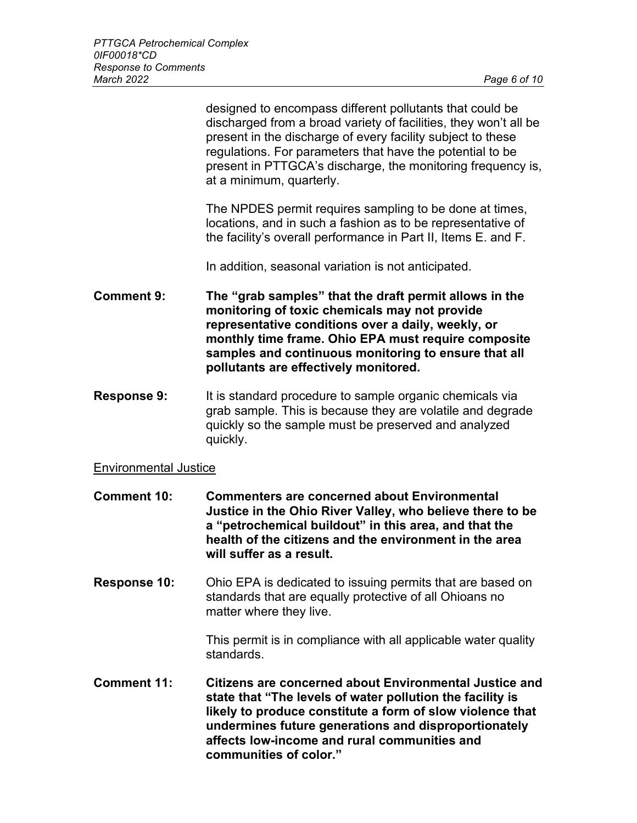designed to encompass different pollutants that could be discharged from a broad variety of facilities, they won't all be present in the discharge of every facility subject to these regulations. For parameters that have the potential to be present in PTTGCA's discharge, the monitoring frequency is, at a minimum, quarterly.

The NPDES permit requires sampling to be done at times, locations, and in such a fashion as to be representative of the facility's overall performance in Part II, Items E. and F.

In addition, seasonal variation is not anticipated.

**Comment 9: The "grab samples" that the draft permit allows in the monitoring of toxic chemicals may not provide representative conditions over a daily, weekly, or monthly time frame. Ohio EPA must require composite samples and continuous monitoring to ensure that all pollutants are effectively monitored.** 

**Response 9:** It is standard procedure to sample organic chemicals via grab sample. This is because they are volatile and degrade quickly so the sample must be preserved and analyzed quickly.

#### Environmental Justice

- **Comment 10: Commenters are concerned about Environmental Justice in the Ohio River Valley, who believe there to be a "petrochemical buildout" in this area, and that the health of the citizens and the environment in the area will suffer as a result.**
- **Response 10:** Ohio EPA is dedicated to issuing permits that are based on standards that are equally protective of all Ohioans no matter where they live.

This permit is in compliance with all applicable water quality standards.

**Comment 11: Citizens are concerned about Environmental Justice and state that "The levels of water pollution the facility is likely to produce constitute a form of slow violence that undermines future generations and disproportionately affects low-income and rural communities and communities of color."**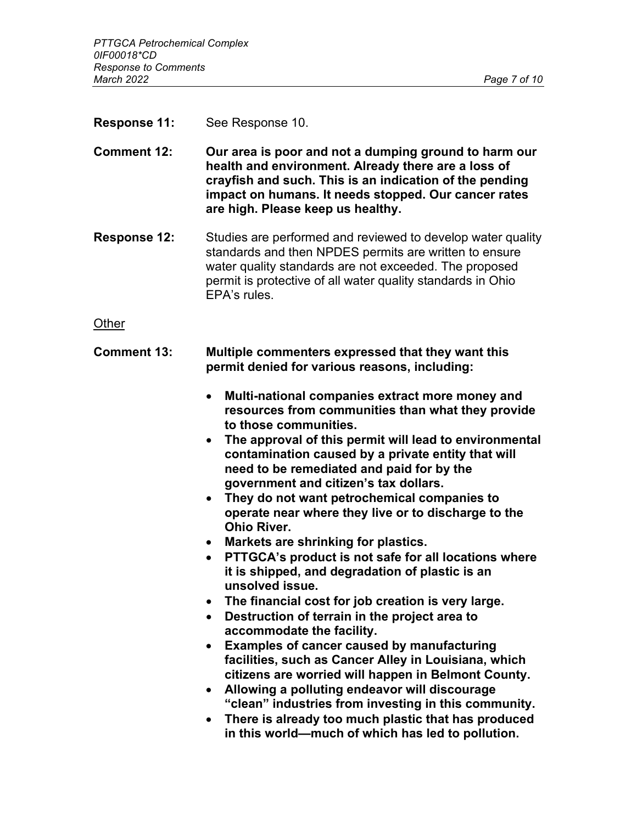**Response 11:** See Response 10.

**Comment 12: Our area is poor and not a dumping ground to harm our health and environment. Already there are a loss of crayfish and such. This is an indication of the pending impact on humans. It needs stopped. Our cancer rates are high. Please keep us healthy.** 

**Response 12:** Studies are performed and reviewed to develop water quality standards and then NPDES permits are written to ensure water quality standards are not exceeded. The proposed permit is protective of all water quality standards in Ohio EPA's rules.

**Other** 

- **Comment 13: Multiple commenters expressed that they want this permit denied for various reasons, including:** 
	- **Multi-national companies extract more money and resources from communities than what they provide to those communities.**
	- **The approval of this permit will lead to environmental contamination caused by a private entity that will need to be remediated and paid for by the government and citizen's tax dollars.**
	- **They do not want petrochemical companies to operate near where they live or to discharge to the Ohio River.**
	- **Markets are shrinking for plastics.**
	- **PTTGCA's product is not safe for all locations where it is shipped, and degradation of plastic is an unsolved issue.**
	- **The financial cost for job creation is very large.**
	- **Destruction of terrain in the project area to accommodate the facility.**
	- **Examples of cancer caused by manufacturing facilities, such as Cancer Alley in Louisiana, which citizens are worried will happen in Belmont County.**
	- **Allowing a polluting endeavor will discourage "clean" industries from investing in this community.**
	- **There is already too much plastic that has produced in this world—much of which has led to pollution.**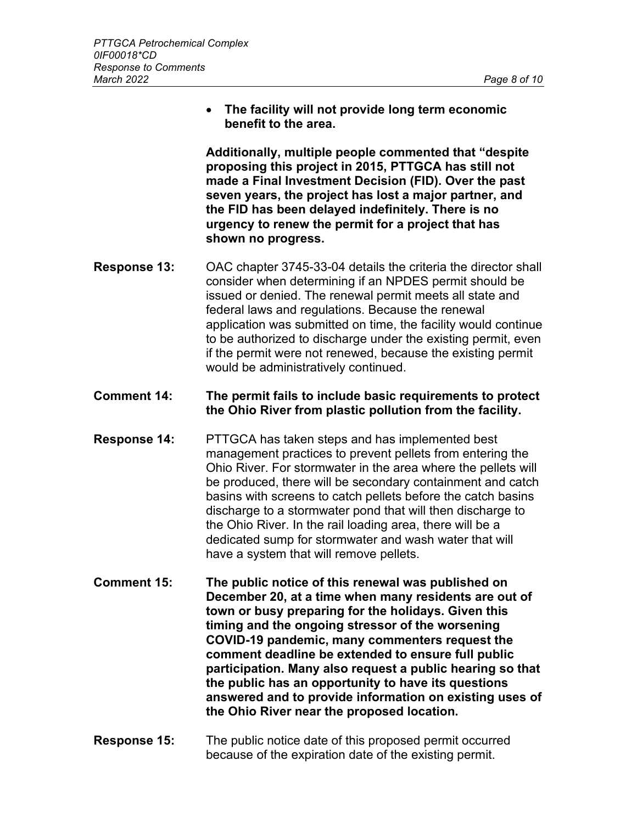• **The facility will not provide long term economic benefit to the area.**

**Additionally, multiple people commented that "despite proposing this project in 2015, PTTGCA has still not made a Final Investment Decision (FID). Over the past seven years, the project has lost a major partner, and the FID has been delayed indefinitely. There is no urgency to renew the permit for a project that has shown no progress.** 

- **Response 13:** OAC chapter 3745-33-04 details the criteria the director shall consider when determining if an NPDES permit should be issued or denied. The renewal permit meets all state and federal laws and regulations. Because the renewal application was submitted on time, the facility would continue to be authorized to discharge under the existing permit, even if the permit were not renewed, because the existing permit would be administratively continued.
- **Comment 14: The permit fails to include basic requirements to protect the Ohio River from plastic pollution from the facility.**
- **Response 14:** PTTGCA has taken steps and has implemented best management practices to prevent pellets from entering the Ohio River. For stormwater in the area where the pellets will be produced, there will be secondary containment and catch basins with screens to catch pellets before the catch basins discharge to a stormwater pond that will then discharge to the Ohio River. In the rail loading area, there will be a dedicated sump for stormwater and wash water that will have a system that will remove pellets.
- **Comment 15: The public notice of this renewal was published on December 20, at a time when many residents are out of town or busy preparing for the holidays. Given this timing and the ongoing stressor of the worsening COVID-19 pandemic, many commenters request the comment deadline be extended to ensure full public participation. Many also request a public hearing so that the public has an opportunity to have its questions answered and to provide information on existing uses of the Ohio River near the proposed location.**
- **Response 15:** The public notice date of this proposed permit occurred because of the expiration date of the existing permit.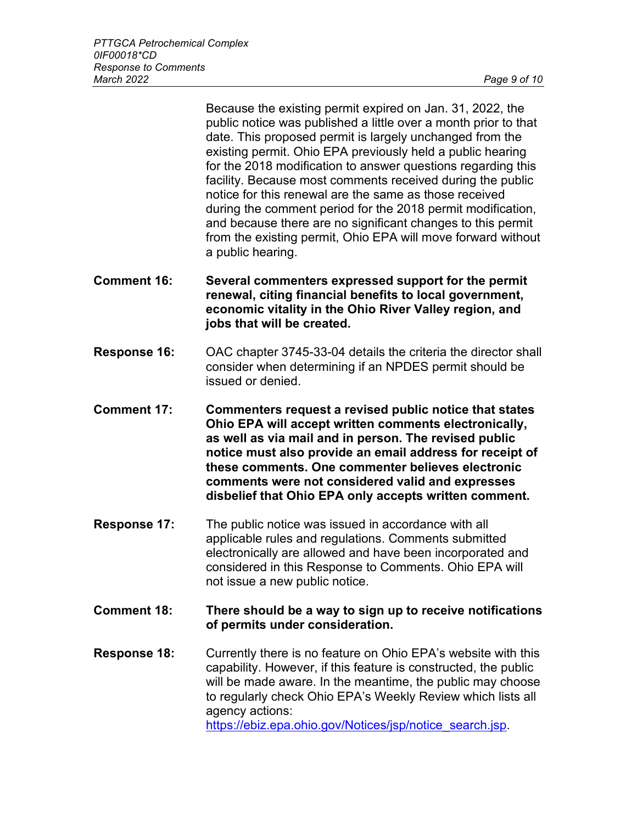Because the existing permit expired on Jan. 31, 2022, the public notice was published a little over a month prior to that date. This proposed permit is largely unchanged from the existing permit. Ohio EPA previously held a public hearing for the 2018 modification to answer questions regarding this facility. Because most comments received during the public notice for this renewal are the same as those received during the comment period for the 2018 permit modification, and because there are no significant changes to this permit from the existing permit, Ohio EPA will move forward without a public hearing.

- **Comment 16: Several commenters expressed support for the permit renewal, citing financial benefits to local government, economic vitality in the Ohio River Valley region, and jobs that will be created.**
- **Response 16:** OAC chapter 3745-33-04 details the criteria the director shall consider when determining if an NPDES permit should be issued or denied.
- **Comment 17: Commenters request a revised public notice that states Ohio EPA will accept written comments electronically, as well as via mail and in person. The revised public notice must also provide an email address for receipt of these comments. One commenter believes electronic comments were not considered valid and expresses disbelief that Ohio EPA only accepts written comment.**
- **Response 17:** The public notice was issued in accordance with all applicable rules and regulations. Comments submitted electronically are allowed and have been incorporated and considered in this Response to Comments. Ohio EPA will not issue a new public notice.
- **Comment 18: There should be a way to sign up to receive notifications of permits under consideration.**
- **Response 18:** Currently there is no feature on Ohio EPA's website with this capability. However, if this feature is constructed, the public will be made aware. In the meantime, the public may choose to regularly check Ohio EPA's Weekly Review which lists all agency actions: [https://ebiz.epa.ohio.gov/Notices/jsp/notice\\_search.jsp.](https://ebiz.epa.ohio.gov/Notices/jsp/notice_search.jsp)